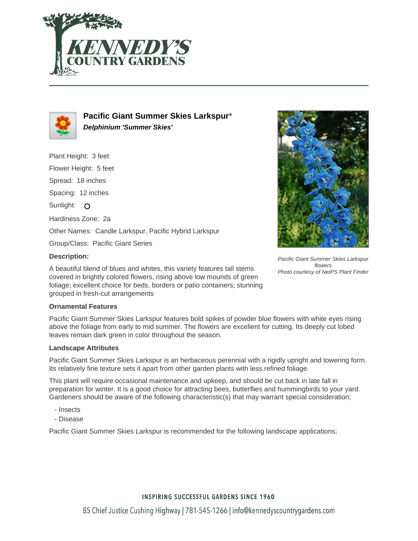



**Pacific Giant Summer Skies Larkspur**\* **Delphinium 'Summer Skies'**

Plant Height: 3 feet Flower Height: 5 feet Spread: 18 inches Spacing: 12 inches Sunlight: O Hardiness Zone: 2a Other Names: Candle Larkspur, Pacific Hybrid Larkspur Group/Class: Pacific Giant Series



A beautiful blend of blues and whites, this variety features tall stems covered in brightly colored flowers, rising above low mounds of green foliage; excellent choice for beds, borders or patio containers; stunning grouped in fresh-cut arrangements



Pacific Giant Summer Skies Larkspur flowers Photo courtesy of NetPS Plant Finder

## **Ornamental Features**

Pacific Giant Summer Skies Larkspur features bold spikes of powder blue flowers with white eyes rising above the foliage from early to mid summer. The flowers are excellent for cutting. Its deeply cut lobed leaves remain dark green in color throughout the season.

## **Landscape Attributes**

Pacific Giant Summer Skies Larkspur is an herbaceous perennial with a rigidly upright and towering form. Its relatively fine texture sets it apart from other garden plants with less refined foliage.

This plant will require occasional maintenance and upkeep, and should be cut back in late fall in preparation for winter. It is a good choice for attracting bees, butterflies and hummingbirds to your yard. Gardeners should be aware of the following characteristic(s) that may warrant special consideration;

- Insects
- Disease

Pacific Giant Summer Skies Larkspur is recommended for the following landscape applications;

## **INSPIRING SUCCESSFUL GARDENS SINCE 1960**

85 Chief Justice Cushing Highway | 781-545-1266 | info@kennedyscountrygardens.com